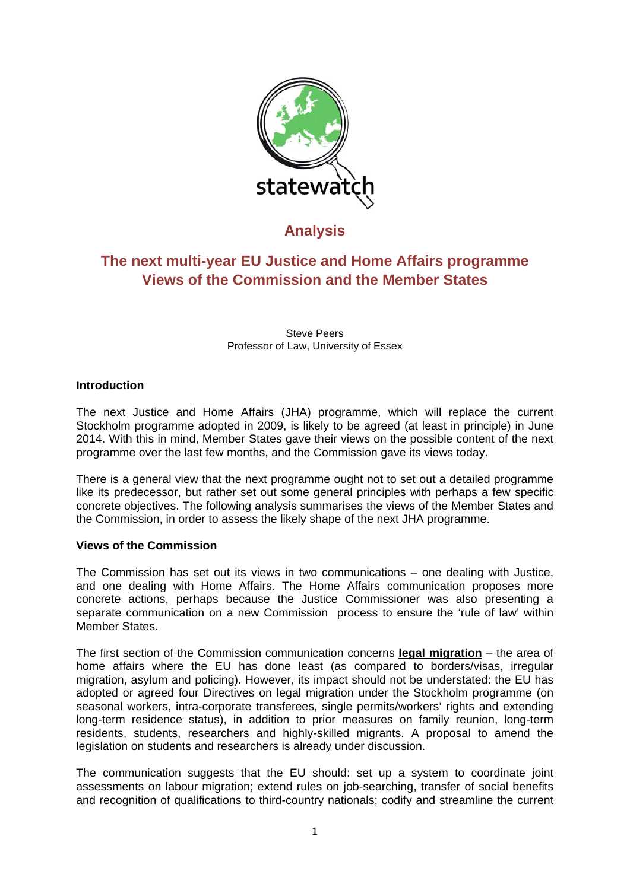

# **Analysis**

# **The next multi-year EU Justice and Home Affairs programme Views of the Commission and the Member States**

Steve Peers Professor of Law, University of Essex

#### **Introduction**

The next Justice and Home Affairs (JHA) programme, which will replace the current Stockholm programme adopted in 2009, is likely to be agreed (at least in principle) in June 2014. With this in mind, Member States gave their views on the possible content of the next programme over the last few months, and the Commission gave its views today.

There is a general view that the next programme ought not to set out a detailed programme like its predecessor, but rather set out some general principles with perhaps a few specific concrete objectives. The following analysis summarises the views of the Member States and the Commission, in order to assess the likely shape of the next JHA programme.

## **Views of the Commission**

The Commission has set out its views in two communications – one dealing with Justice, and one dealing with Home Affairs. The Home Affairs communication proposes more concrete actions, perhaps because the Justice Commissioner was also presenting a separate communication on a new Commission process to ensure the 'rule of law' within Member States.

The first section of the Commission communication concerns **legal migration** – the area of home affairs where the EU has done least (as compared to borders/visas, irregular migration, asylum and policing). However, its impact should not be understated: the EU has adopted or agreed four Directives on legal migration under the Stockholm programme (on seasonal workers, intra-corporate transferees, single permits/workers' rights and extending long-term residence status), in addition to prior measures on family reunion, long-term residents, students, researchers and highly-skilled migrants. A proposal to amend the legislation on students and researchers is already under discussion.

The communication suggests that the EU should: set up a system to coordinate joint assessments on labour migration; extend rules on job-searching, transfer of social benefits and recognition of qualifications to third-country nationals; codify and streamline the current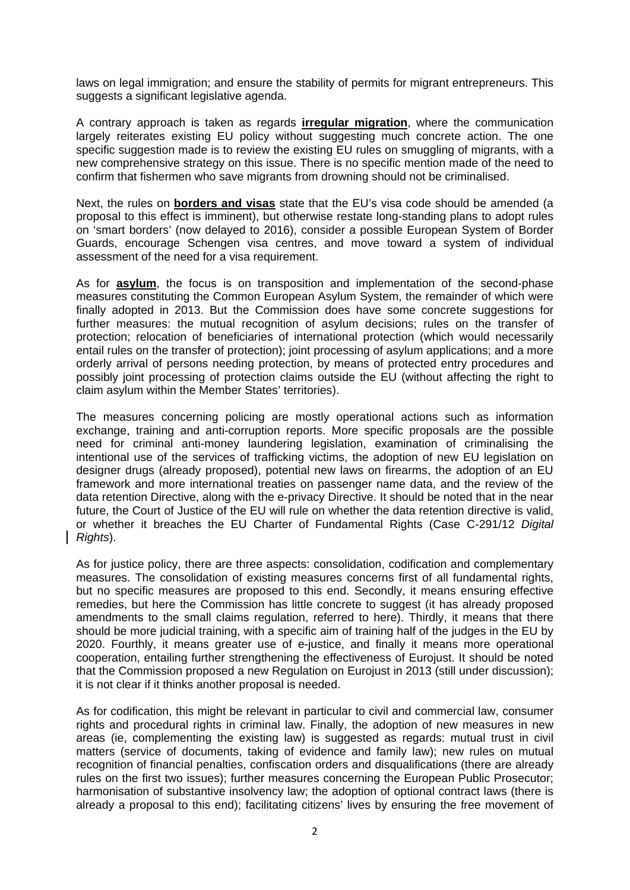laws on legal immigration; and ensure the stability of permits for migrant entrepreneurs. This suggests a significant legislative agenda.

A contrary approach is taken as regards **irregular migration**, where the communication largely reiterates existing EU policy without suggesting much concrete action. The one specific suggestion made is to review the existing EU rules on smuggling of migrants, with a new comprehensive strategy on this issue. There is no specific mention made of the need to confirm that fishermen who save migrants from drowning should not be criminalised.

Next, the rules on **borders and visas** state that the EU's visa code should be amended (a proposal to this effect is imminent), but otherwise restate long-standing plans to adopt rules on 'smart borders' (now delayed to 2016), consider a possible European System of Border Guards, encourage Schengen visa centres, and move toward a system of individual assessment of the need for a visa requirement.

As for **asylum**, the focus is on transposition and implementation of the second-phase measures constituting the Common European Asylum System, the remainder of which were finally adopted in 2013. But the Commission does have some concrete suggestions for further measures: the mutual recognition of asylum decisions; rules on the transfer of protection; relocation of beneficiaries of international protection (which would necessarily entail rules on the transfer of protection); joint processing of asylum applications; and a more orderly arrival of persons needing protection, by means of protected entry procedures and possibly joint processing of protection claims outside the EU (without affecting the right to claim asylum within the Member States' territories).

The measures concerning policing are mostly operational actions such as information exchange, training and anti-corruption reports. More specific proposals are the possible need for criminal anti-money laundering legislation, examination of criminalising the intentional use of the services of trafficking victims, the adoption of new EU legislation on designer drugs (already proposed), potential new laws on firearms, the adoption of an EU framework and more international treaties on passenger name data, and the review of the data retention Directive, along with the e-privacy Directive. It should be noted that in the near future, the Court of Justice of the EU will rule on whether the data retention directive is valid, or whether it breaches the EU Charter of Fundamental Rights (Case C-291/12 *Digital Rights*).

As for justice policy, there are three aspects: consolidation, codification and complementary measures. The consolidation of existing measures concerns first of all fundamental rights, but no specific measures are proposed to this end. Secondly, it means ensuring effective remedies, but here the Commission has little concrete to suggest (it has already proposed amendments to the small claims regulation, referred to here). Thirdly, it means that there should be more judicial training, with a specific aim of training half of the judges in the EU by 2020. Fourthly, it means greater use of e-justice, and finally it means more operational cooperation, entailing further strengthening the effectiveness of Eurojust. It should be noted that the Commission proposed a new Regulation on Eurojust in 2013 (still under discussion); it is not clear if it thinks another proposal is needed.

As for codification, this might be relevant in particular to civil and commercial law, consumer rights and procedural rights in criminal law. Finally, the adoption of new measures in new areas (ie, complementing the existing law) is suggested as regards: mutual trust in civil matters (service of documents, taking of evidence and family law); new rules on mutual recognition of financial penalties, confiscation orders and disqualifications (there are already rules on the first two issues); further measures concerning the European Public Prosecutor; harmonisation of substantive insolvency law; the adoption of optional contract laws (there is already a proposal to this end); facilitating citizens' lives by ensuring the free movement of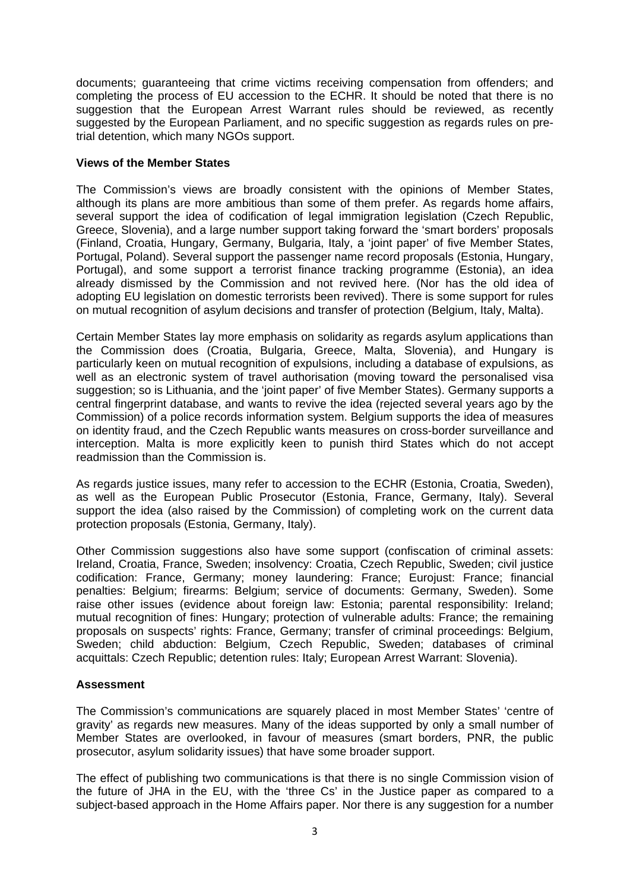documents; guaranteeing that crime victims receiving compensation from offenders; and completing the process of EU accession to the ECHR. It should be noted that there is no suggestion that the European Arrest Warrant rules should be reviewed, as recently suggested by the European Parliament, and no specific suggestion as regards rules on pretrial detention, which many NGOs support.

#### **Views of the Member States**

The Commission's views are broadly consistent with the opinions of Member States, although its plans are more ambitious than some of them prefer. As regards home affairs, several support the idea of codification of legal immigration legislation (Czech Republic, Greece, Slovenia), and a large number support taking forward the 'smart borders' proposals (Finland, Croatia, Hungary, Germany, Bulgaria, Italy, a 'joint paper' of five Member States, Portugal, Poland). Several support the passenger name record proposals (Estonia, Hungary, Portugal), and some support a terrorist finance tracking programme (Estonia), an idea already dismissed by the Commission and not revived here. (Nor has the old idea of adopting EU legislation on domestic terrorists been revived). There is some support for rules on mutual recognition of asylum decisions and transfer of protection (Belgium, Italy, Malta).

Certain Member States lay more emphasis on solidarity as regards asylum applications than the Commission does (Croatia, Bulgaria, Greece, Malta, Slovenia), and Hungary is particularly keen on mutual recognition of expulsions, including a database of expulsions, as well as an electronic system of travel authorisation (moving toward the personalised visa suggestion; so is Lithuania, and the 'joint paper' of five Member States). Germany supports a central fingerprint database, and wants to revive the idea (rejected several years ago by the Commission) of a police records information system. Belgium supports the idea of measures on identity fraud, and the Czech Republic wants measures on cross-border surveillance and interception. Malta is more explicitly keen to punish third States which do not accept readmission than the Commission is.

As regards justice issues, many refer to accession to the ECHR (Estonia, Croatia, Sweden), as well as the European Public Prosecutor (Estonia, France, Germany, Italy). Several support the idea (also raised by the Commission) of completing work on the current data protection proposals (Estonia, Germany, Italy).

Other Commission suggestions also have some support (confiscation of criminal assets: Ireland, Croatia, France, Sweden; insolvency: Croatia, Czech Republic, Sweden; civil justice codification: France, Germany; money laundering: France; Eurojust: France; financial penalties: Belgium; firearms: Belgium; service of documents: Germany, Sweden). Some raise other issues (evidence about foreign law: Estonia; parental responsibility: Ireland; mutual recognition of fines: Hungary; protection of vulnerable adults: France; the remaining proposals on suspects' rights: France, Germany; transfer of criminal proceedings: Belgium, Sweden; child abduction: Belgium, Czech Republic, Sweden; databases of criminal acquittals: Czech Republic; detention rules: Italy; European Arrest Warrant: Slovenia).

## **Assessment**

The Commission's communications are squarely placed in most Member States' 'centre of gravity' as regards new measures. Many of the ideas supported by only a small number of Member States are overlooked, in favour of measures (smart borders, PNR, the public prosecutor, asylum solidarity issues) that have some broader support.

The effect of publishing two communications is that there is no single Commission vision of the future of JHA in the EU, with the 'three Cs' in the Justice paper as compared to a subject-based approach in the Home Affairs paper. Nor there is any suggestion for a number